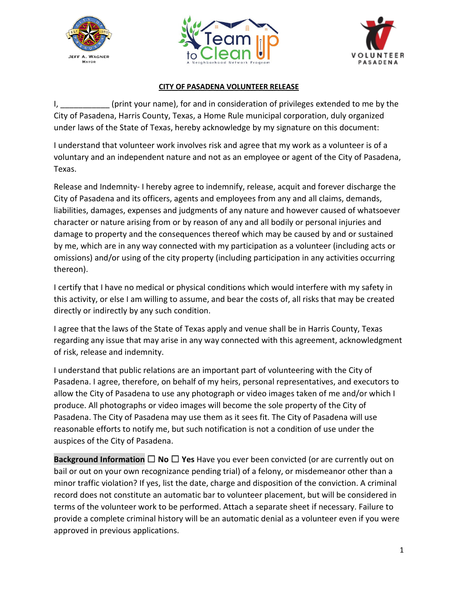





## **CITY OF PASADENA VOLUNTEER RELEASE**

I, a larger (print your name), for and in consideration of privileges extended to me by the City of Pasadena, Harris County, Texas, a Home Rule municipal corporation, duly organized under laws of the State of Texas, hereby acknowledge by my signature on this document:

I understand that volunteer work involves risk and agree that my work as a volunteer is of a voluntary and an independent nature and not as an employee or agent of the City of Pasadena, Texas.

Release and Indemnity- I hereby agree to indemnify, release, acquit and forever discharge the City of Pasadena and its officers, agents and employees from any and all claims, demands, liabilities, damages, expenses and judgments of any nature and however caused of whatsoever character or nature arising from or by reason of any and all bodily or personal injuries and damage to property and the consequences thereof which may be caused by and or sustained by me, which are in any way connected with my participation as a volunteer (including acts or omissions) and/or using of the city property (including participation in any activities occurring thereon).

I certify that I have no medical or physical conditions which would interfere with my safety in this activity, or else I am willing to assume, and bear the costs of, all risks that may be created directly or indirectly by any such condition.

I agree that the laws of the State of Texas apply and venue shall be in Harris County, Texas regarding any issue that may arise in any way connected with this agreement, acknowledgment of risk, release and indemnity.

I understand that public relations are an important part of volunteering with the City of Pasadena. I agree, therefore, on behalf of my heirs, personal representatives, and executors to allow the City of Pasadena to use any photograph or video images taken of me and/or which I produce. All photographs or video images will become the sole property of the City of Pasadena. The City of Pasadena may use them as it sees fit. The City of Pasadena will use reasonable efforts to notify me, but such notification is not a condition of use under the auspices of the City of Pasadena.

**Background Information** ☐ **No** ☐ **Yes** Have you ever been convicted (or are currently out on bail or out on your own recognizance pending trial) of a felony, or misdemeanor other than a minor traffic violation? If yes, list the date, charge and disposition of the conviction. A criminal record does not constitute an automatic bar to volunteer placement, but will be considered in terms of the volunteer work to be performed. Attach a separate sheet if necessary. Failure to provide a complete criminal history will be an automatic denial as a volunteer even if you were approved in previous applications.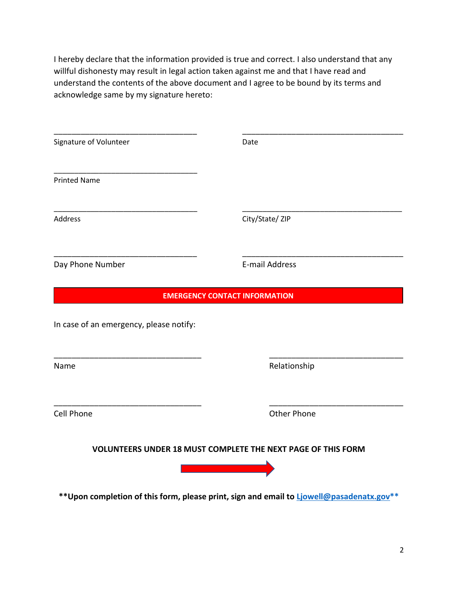I hereby declare that the information provided is true and correct. I also understand that any willful dishonesty may result in legal action taken against me and that I have read and understand the contents of the above document and I agree to be bound by its terms and acknowledge same by my signature hereto:

| Signature of Volunteer                                              | Date                                                                                      |  |  |  |
|---------------------------------------------------------------------|-------------------------------------------------------------------------------------------|--|--|--|
| <b>Printed Name</b>                                                 |                                                                                           |  |  |  |
| <b>Address</b>                                                      | City/State/ ZIP                                                                           |  |  |  |
| Day Phone Number                                                    | E-mail Address                                                                            |  |  |  |
| <b>EMERGENCY CONTACT INFORMATION</b>                                |                                                                                           |  |  |  |
| In case of an emergency, please notify:                             |                                                                                           |  |  |  |
| Name                                                                | Relationship                                                                              |  |  |  |
| <b>Cell Phone</b>                                                   | <b>Other Phone</b>                                                                        |  |  |  |
| <b>VOLUNTEERS UNDER 18 MUST COMPLETE THE NEXT PAGE OF THIS FORM</b> |                                                                                           |  |  |  |
|                                                                     |                                                                                           |  |  |  |
|                                                                     | ** Upon completion of this form, please print, sign and email to Ljowell@pasadenatx.gov** |  |  |  |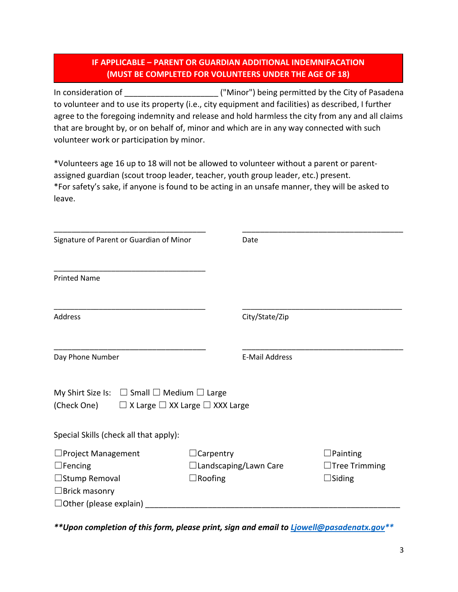## **IF APPLICABLE – PARENT OR GUARDIAN ADDITIONAL INDEMNIFACATION (MUST BE COMPLETED FOR VOLUNTEERS UNDER THE AGE OF 18)**

In consideration of  $\qquad \qquad$  ("Minor") being permitted by the City of Pasadena to volunteer and to use its property (i.e., city equipment and facilities) as described, I further agree to the foregoing indemnity and release and hold harmless the city from any and all claims that are brought by, or on behalf of, minor and which are in any way connected with such volunteer work or participation by minor.

\*Volunteers age 16 up to 18 will not be allowed to volunteer without a parent or parentassigned guardian (scout troop leader, teacher, youth group leader, etc.) present. \*For safety's sake, if anyone is found to be acting in an unsafe manner, they will be asked to leave.

| Signature of Parent or Guardian of Minor                                                                                    |                              | Date                  |                      |  |
|-----------------------------------------------------------------------------------------------------------------------------|------------------------------|-----------------------|----------------------|--|
| <b>Printed Name</b>                                                                                                         |                              |                       |                      |  |
| <b>Address</b>                                                                                                              |                              | City/State/Zip        |                      |  |
| Day Phone Number                                                                                                            |                              | <b>E-Mail Address</b> |                      |  |
| My Shirt Size Is: $\Box$ Small $\Box$ Medium $\Box$ Large<br>(Check One)<br>$\Box$ X Large $\Box$ XX Large $\Box$ XXX Large |                              |                       |                      |  |
| Special Skills (check all that apply):                                                                                      |                              |                       |                      |  |
| $\Box$ Project Management                                                                                                   | $\Box$ Carpentry             |                       | $\Box$ Painting      |  |
| $\Box$ Fencing                                                                                                              | $\Box$ Landscaping/Lawn Care |                       | $\Box$ Tree Trimming |  |
| $\Box$ Stump Removal                                                                                                        | $\Box$ Roofing               |                       | $\Box$ Siding        |  |
| $\Box$ Brick masonry                                                                                                        |                              |                       |                      |  |
| $\Box$ Other (please explain)                                                                                               |                              |                       |                      |  |

*\*\*Upon completion of this form, please print, sign and email t[o Ljowell@pasadenatx.gov\\*\\*](mailto:Ljowell@pasadenatx.gov**)*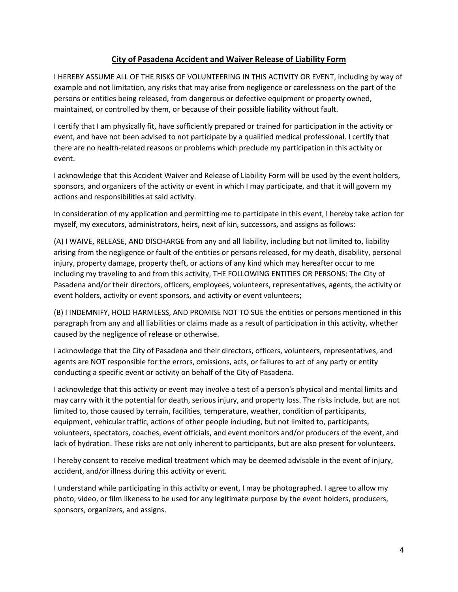## **City of Pasadena Accident and Waiver Release of Liability Form**

I HEREBY ASSUME ALL OF THE RISKS OF VOLUNTEERING IN THIS ACTIVITY OR EVENT, including by way of example and not limitation, any risks that may arise from negligence or carelessness on the part of the persons or entities being released, from dangerous or defective equipment or property owned, maintained, or controlled by them, or because of their possible liability without fault.

I certify that I am physically fit, have sufficiently prepared or trained for participation in the activity or event, and have not been advised to not participate by a qualified medical professional. I certify that there are no health-related reasons or problems which preclude my participation in this activity or event.

I acknowledge that this Accident Waiver and Release of Liability Form will be used by the event holders, sponsors, and organizers of the activity or event in which I may participate, and that it will govern my actions and responsibilities at said activity.

In consideration of my application and permitting me to participate in this event, I hereby take action for myself, my executors, administrators, heirs, next of kin, successors, and assigns as follows:

(A) I WAIVE, RELEASE, AND DISCHARGE from any and all liability, including but not limited to, liability arising from the negligence or fault of the entities or persons released, for my death, disability, personal injury, property damage, property theft, or actions of any kind which may hereafter occur to me including my traveling to and from this activity, THE FOLLOWING ENTITIES OR PERSONS: The City of Pasadena and/or their directors, officers, employees, volunteers, representatives, agents, the activity or event holders, activity or event sponsors, and activity or event volunteers;

(B) I INDEMNIFY, HOLD HARMLESS, AND PROMISE NOT TO SUE the entities or persons mentioned in this paragraph from any and all liabilities or claims made as a result of participation in this activity, whether caused by the negligence of release or otherwise.

I acknowledge that the City of Pasadena and their directors, officers, volunteers, representatives, and agents are NOT responsible for the errors, omissions, acts, or failures to act of any party or entity conducting a specific event or activity on behalf of the City of Pasadena.

I acknowledge that this activity or event may involve a test of a person's physical and mental limits and may carry with it the potential for death, serious injury, and property loss. The risks include, but are not limited to, those caused by terrain, facilities, temperature, weather, condition of participants, equipment, vehicular traffic, actions of other people including, but not limited to, participants, volunteers, spectators, coaches, event officials, and event monitors and/or producers of the event, and lack of hydration. These risks are not only inherent to participants, but are also present for volunteers.

I hereby consent to receive medical treatment which may be deemed advisable in the event of injury, accident, and/or illness during this activity or event.

I understand while participating in this activity or event, I may be photographed. I agree to allow my photo, video, or film likeness to be used for any legitimate purpose by the event holders, producers, sponsors, organizers, and assigns.